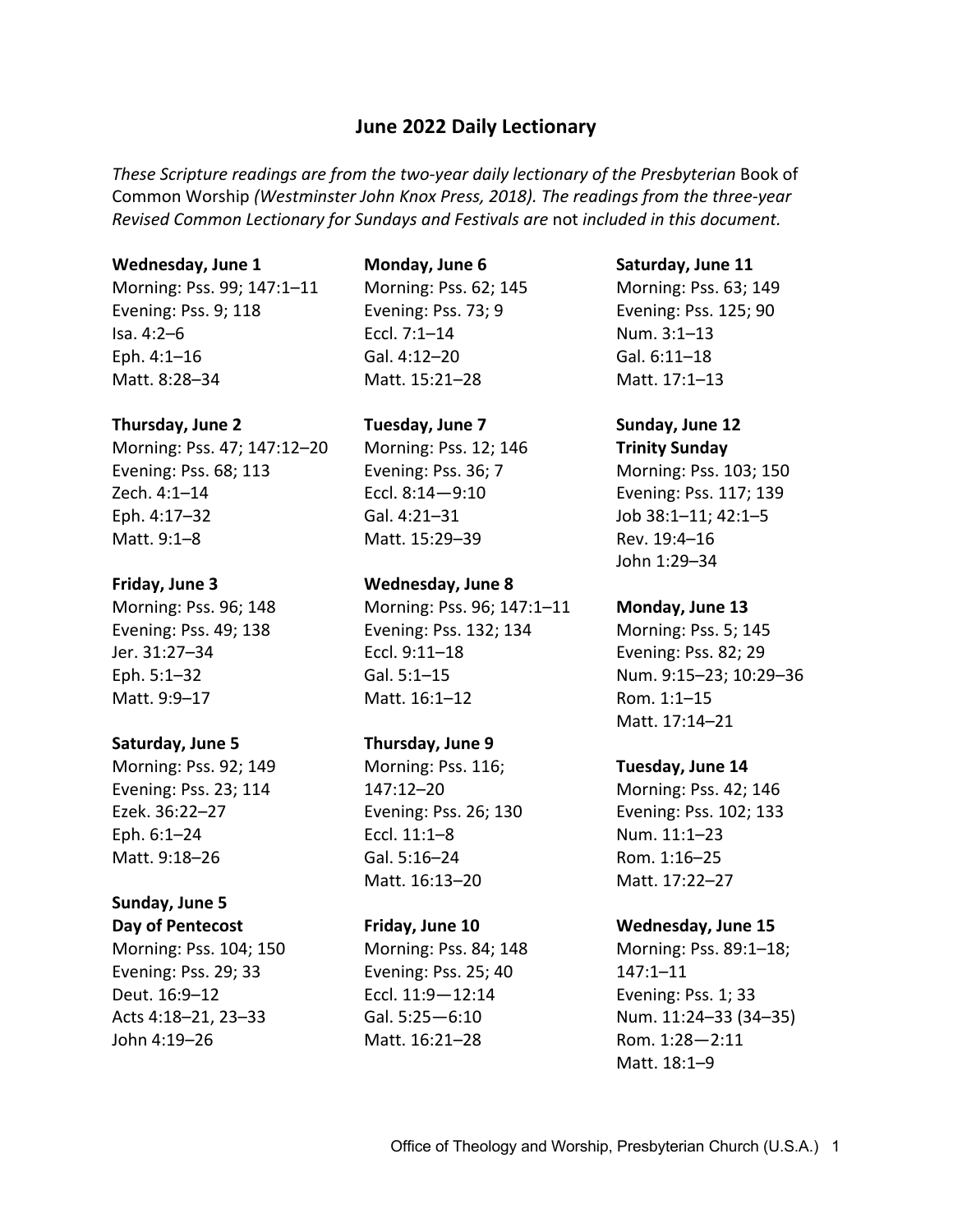# **June 2022 Daily Lectionary**

These Scripture readings are from the two-year daily lectionary of the Presbyterian Book of Common Worship *(Westminster John Knox Press, 2018). The readings from the three-year Revised Common Lectionary for Sundays and Festivals are* not *included in this document.*

#### **Wednesday, June 1**

Morning: Pss. 99; 147:1–11 Evening: Pss. 9; 118 Isa. 4:2–6 Eph. 4:1–16 Matt. 8:28–34

#### **Thursday, June 2**

Morning: Pss. 47; 147:12–20 Evening: Pss. 68; 113 Zech. 4:1–14 Eph. 4:17–32 Matt. 9:1–8

#### **Friday, June 3**

Morning: Pss. 96; 148 Evening: Pss. 49; 138 Jer. 31:27–34 Eph. 5:1–32 Matt. 9:9–17

#### **Saturday, June 5**

Morning: Pss. 92; 149 Evening: Pss. 23; 114 Ezek. 36:22–27 Eph. 6:1–24 Matt. 9:18–26

# **Sunday, June 5**

**Day of Pentecost**

Morning: Pss. 104; 150 Evening: Pss. 29; 33 Deut. 16:9–12 Acts 4:18–21, 23–33 John 4:19–26

#### **Monday, June 6**

Morning: Pss. 62; 145 Evening: Pss. 73; 9 Eccl. 7:1–14 Gal. 4:12–20 Matt. 15:21–28

## **Tuesday, June 7**

Morning: Pss. 12; 146 Evening: Pss. 36; 7 Eccl. 8:14—9:10 Gal. 4:21–31 Matt. 15:29–39

#### **Wednesday, June 8**

Morning: Pss. 96; 147:1–11 Evening: Pss. 132; 134 Eccl. 9:11–18 Gal. 5:1–15 Matt. 16:1–12

## **Thursday, June 9**

Morning: Pss. 116; 147:12–20 Evening: Pss. 26; 130 Eccl. 11:1–8 Gal. 5:16–24 Matt. 16:13–20

#### **Friday, June 10**

Morning: Pss. 84; 148 Evening: Pss. 25; 40 Eccl. 11:9—12:14 Gal. 5:25—6:10 Matt. 16:21–28

#### **Saturday, June 11**

Morning: Pss. 63; 149 Evening: Pss. 125; 90 Num. 3:1–13 Gal. 6:11–18 Matt. 17:1–13

# **Sunday, June 12**

**Trinity Sunday** Morning: Pss. 103; 150 Evening: Pss. 117; 139 Job 38:1–11; 42:1–5 Rev. 19:4–16 John 1:29–34

### **Monday, June 13**

Morning: Pss. 5; 145 Evening: Pss. 82; 29 Num. 9:15–23; 10:29–36 Rom. 1:1–15 Matt. 17:14–21

### **Tuesday, June 14**

Morning: Pss. 42; 146 Evening: Pss. 102; 133 Num. 11:1–23 Rom. 1:16–25 Matt. 17:22–27

### **Wednesday, June 15**

Morning: Pss. 89:1–18; 147:1–11 Evening: Pss. 1; 33 Num. 11:24–33 (34–35) Rom. 1:28—2:11 Matt. 18:1–9